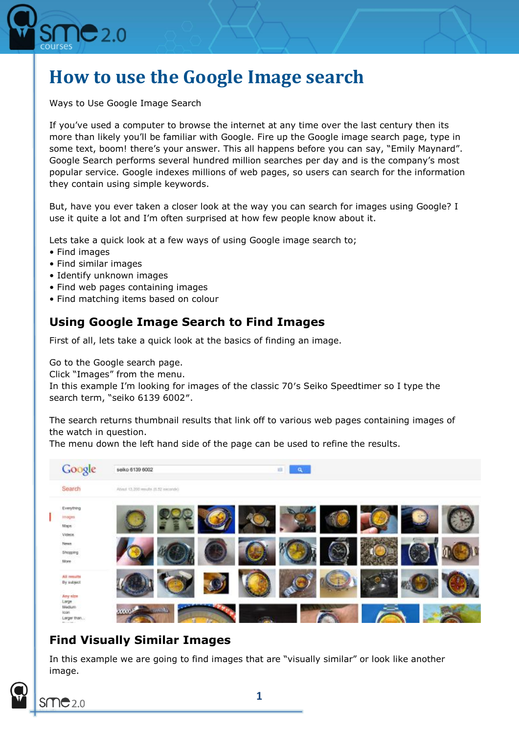

# **How to use the Google Image search**

Ways to Use Google Image Search

If you've used a computer to browse the internet at any time over the last century then its more than likely you'll be familiar with Google. Fire up the Google image search page, type in some text, boom! there's your answer. This all happens before you can say, "Emily Maynard". Google Search performs several hundred million searches per day and is the company's most popular service. Google indexes millions of web pages, so users can search for the information they contain using simple keywords.

But, have you ever taken a closer look at the way you can search for images using Google? I use it quite a lot and I'm often surprised at how few people know about it.

Lets take a quick look at a few ways of using Google image search to;

- Find images
- Find similar images
- Identify unknown images
- Find web pages containing images
- Find matching items based on colour

# **Using Google Image Search to Find Images**

First of all, lets take a quick look at the basics of finding an image.

Go to the Google search page.

Click "Images" from the menu.

In this example I'm looking for images of the classic 70′s Seiko Speedtimer so I type the search term, "seiko 6139 6002″.

The search returns thumbnail results that link off to various web pages containing images of the watch in question.

The menu down the left hand side of the page can be used to refine the results.



# **Find Visually Similar Images**

In this example we are going to find images that are "visually similar" or look like another image.

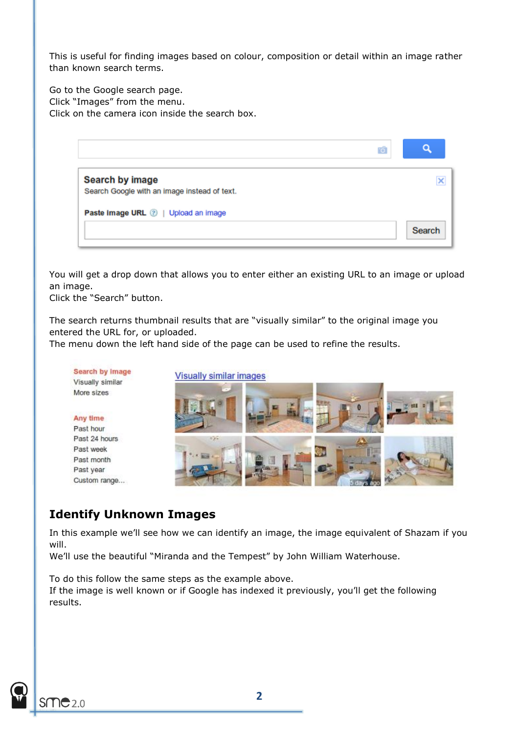This is useful for finding images based on colour, composition or detail within an image rather than known search terms.

Go to the Google search page. Click "Images" from the menu. Click on the camera icon inside the search box.



You will get a drop down that allows you to enter either an existing URL to an image or upload an image.

Click the "Search" button.

The search returns thumbnail results that are "visually similar" to the original image you entered the URL for, or uploaded.

The menu down the left hand side of the page can be used to refine the results.



### **Identify Unknown Images**

In this example we'll see how we can identify an image, the image equivalent of Shazam if you will.

We'll use the beautiful "Miranda and the Tempest" by John William Waterhouse.

To do this follow the same steps as the example above. If the image is well known or if Google has indexed it previously, you'll get the following results.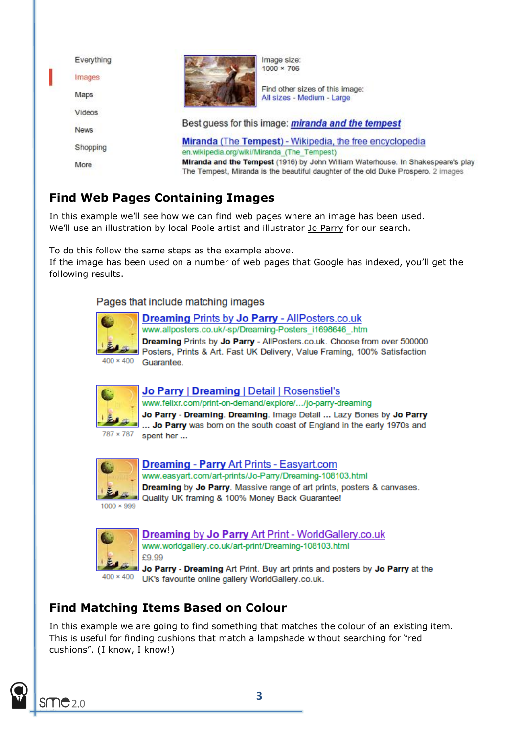

# **Find Web Pages Containing Images**

In this example we'll see how we can find web pages where an image has been used. We'll use an illustration by local Poole artist and illustrator [Jo Parry](http://www.joparryart.com/) for our search.

To do this follow the same steps as the example above.

If the image has been used on a number of web pages that Google has indexed, you'll get the following results.

Pages that include matching images



### **Dreaming Prints by Jo Parry - AllPosters.co.uk**

www.allposters.co.uk/-sp/Dreaming-Posters i1698646 .htm **Dreaming Prints by Jo Parry - AllPosters.co.uk. Choose from over 500000** Posters, Prints & Art. Fast UK Delivery, Value Framing, 100% Satisfaction Guarantee.



#### Jo Parry | Dreaming | Detail | Rosenstiel's

www.felixr.com/print-on-demand/explore/.../jo-parry-dreaming

Jo Parry - Dreaming. Dreaming. Image Detail ... Lazy Bones by Jo Parry ... Jo Parry was born on the south coast of England in the early 1970s and 787 × 787 spent her ...



**Dreaming - Parry Art Prints - Easvart.com** www.easyart.com/art-prints/Jo-Parry/Dreaming-108103.html Dreaming by Jo Parry. Massive range of art prints, posters & canvases. Quality UK framing & 100% Money Back Guarantee!



Dreaming by Jo Parry Art Print - WorldGallery.co.uk www.worldgallery.co.uk/art-print/Dreaming-108103.html £9.99

Jo Parry - Dreaming Art Print. Buy art prints and posters by Jo Parry at the UK's favourite online gallery WorldGallery.co.uk.

# **Find Matching Items Based on Colour**

In this example we are going to find something that matches the colour of an existing item. This is useful for finding cushions that match a lampshade without searching for "red cushions". (I know, I know!)